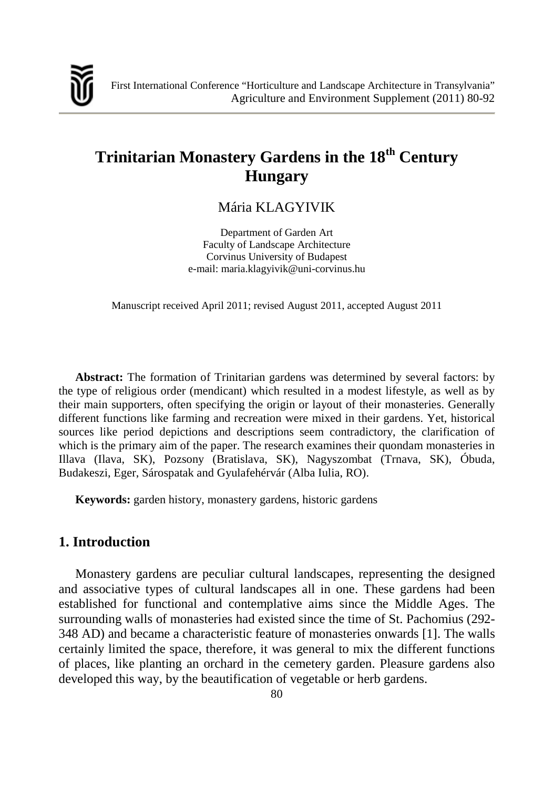

# **Trinitarian Monastery Gardens in the 18th Century Hungary**

# Mária KLAGYIVIK

Department of Garden Art Faculty of Landscape Architecture Corvinus University of Budapest e-mail: maria.klagyivik@uni-corvinus.hu

Manuscript received April 2011; revised August 2011, accepted August 2011

**Abstract:** The formation of Trinitarian gardens was determined by several factors: by the type of religious order (mendicant) which resulted in a modest lifestyle, as well as by their main supporters, often specifying the origin or layout of their monasteries. Generally different functions like farming and recreation were mixed in their gardens. Yet, historical sources like period depictions and descriptions seem contradictory, the clarification of which is the primary aim of the paper. The research examines their quondam monasteries in Illava (Ilava, SK), Pozsony (Bratislava, SK), Nagyszombat (Trnava, SK), Óbuda, Budakeszi, Eger, Sárospatak and Gyulafehérvár (Alba Iulia, RO).

**Keywords:** garden history, monastery gardens, historic gardens

# **1. Introduction**

Monastery gardens are peculiar cultural landscapes, representing the designed and associative types of cultural landscapes all in one. These gardens had been established for functional and contemplative aims since the Middle Ages. The surrounding walls of monasteries had existed since the time of St. Pachomius (292- 348 AD) and became a characteristic feature of monasteries onwards [1]. The walls certainly limited the space, therefore, it was general to mix the different functions of places, like planting an orchard in the cemetery garden. Pleasure gardens also developed this way, by the beautification of vegetable or herb gardens.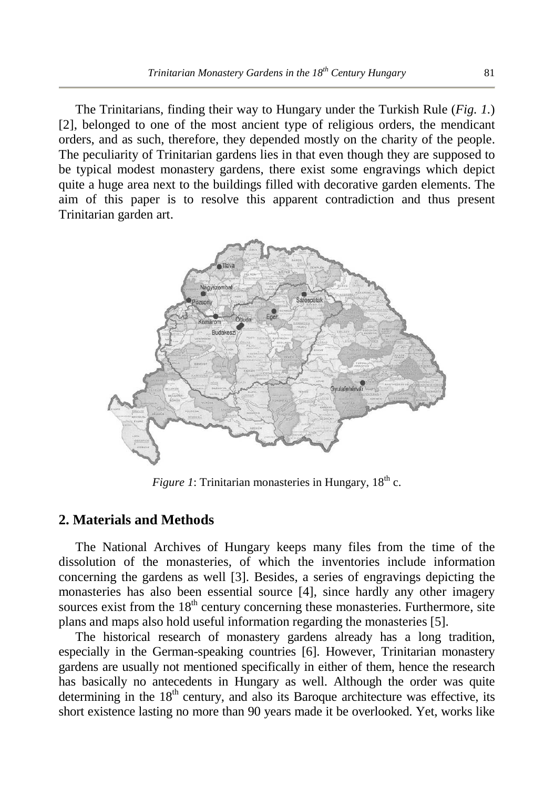The Trinitarians, finding their way to Hungary under the Turkish Rule (*Fig. 1.*) [2], belonged to one of the most ancient type of religious orders, the mendicant orders, and as such, therefore, they depended mostly on the charity of the people. The peculiarity of Trinitarian gardens lies in that even though they are supposed to be typical modest monastery gardens, there exist some engravings which depict quite a huge area next to the buildings filled with decorative garden elements. The aim of this paper is to resolve this apparent contradiction and thus present Trinitarian garden art.



*Figure 1*: Trinitarian monasteries in Hungary,  $18<sup>th</sup>$  c.

## **2. Materials and Methods**

The National Archives of Hungary keeps many files from the time of the dissolution of the monasteries, of which the inventories include information concerning the gardens as well [3]. Besides, a series of engravings depicting the monasteries has also been essential source [4], since hardly any other imagery sources exist from the  $18<sup>th</sup>$  century concerning these monasteries. Furthermore, site plans and maps also hold useful information regarding the monasteries [5].

The historical research of monastery gardens already has a long tradition, especially in the German-speaking countries [6]. However, Trinitarian monastery gardens are usually not mentioned specifically in either of them, hence the research has basically no antecedents in Hungary as well. Although the order was quite determining in the  $18<sup>th</sup>$  century, and also its Baroque architecture was effective, its short existence lasting no more than 90 years made it be overlooked. Yet, works like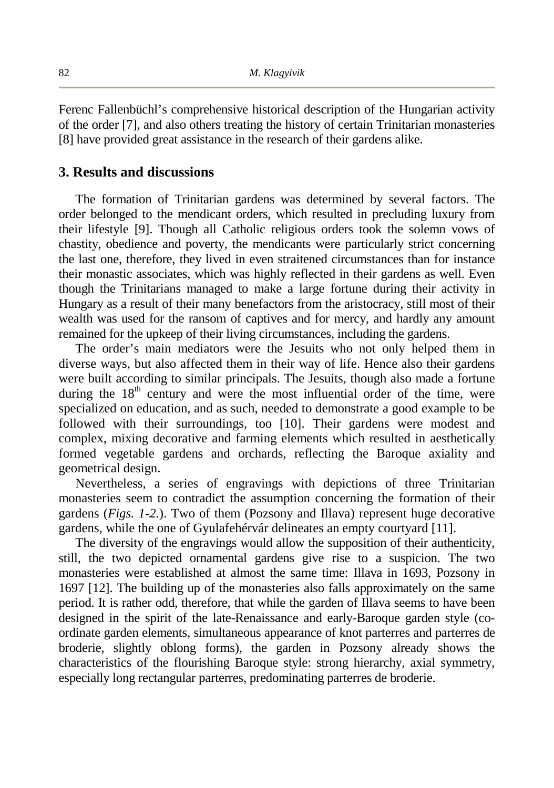Ferenc Fallenbüchl's comprehensive historical description of the Hungarian activity of the order [7], and also others treating the history of certain Trinitarian monasteries [8] have provided great assistance in the research of their gardens alike.

#### **3. Results and discussions**

The formation of Trinitarian gardens was determined by several factors. The order belonged to the mendicant orders, which resulted in precluding luxury from their lifestyle [9]. Though all Catholic religious orders took the solemn vows of chastity, obedience and poverty, the mendicants were particularly strict concerning the last one, therefore, they lived in even straitened circumstances than for instance their monastic associates, which was highly reflected in their gardens as well. Even though the Trinitarians managed to make a large fortune during their activity in Hungary as a result of their many benefactors from the aristocracy, still most of their wealth was used for the ransom of captives and for mercy, and hardly any amount remained for the upkeep of their living circumstances, including the gardens.

The order's main mediators were the Jesuits who not only helped them in diverse ways, but also affected them in their way of life. Hence also their gardens were built according to similar principals. The Jesuits, though also made a fortune during the  $18<sup>th</sup>$  century and were the most influential order of the time, were specialized on education, and as such, needed to demonstrate a good example to be followed with their surroundings, too [10]. Their gardens were modest and complex, mixing decorative and farming elements which resulted in aesthetically formed vegetable gardens and orchards, reflecting the Baroque axiality and geometrical design.

Nevertheless, a series of engravings with depictions of three Trinitarian monasteries seem to contradict the assumption concerning the formation of their gardens (*Figs. 1-2.*). Two of them (Pozsony and Illava) represent huge decorative gardens, while the one of Gyulafehérvár delineates an empty courtyard [11].

The diversity of the engravings would allow the supposition of their authenticity, still, the two depicted ornamental gardens give rise to a suspicion. The two monasteries were established at almost the same time: Illava in 1693, Pozsony in 1697 [12]. The building up of the monasteries also falls approximately on the same period. It is rather odd, therefore, that while the garden of Illava seems to have been designed in the spirit of the late-Renaissance and early-Baroque garden style (coordinate garden elements, simultaneous appearance of knot parterres and parterres de broderie, slightly oblong forms), the garden in Pozsony already shows the characteristics of the flourishing Baroque style: strong hierarchy, axial symmetry, especially long rectangular parterres, predominating parterres de broderie.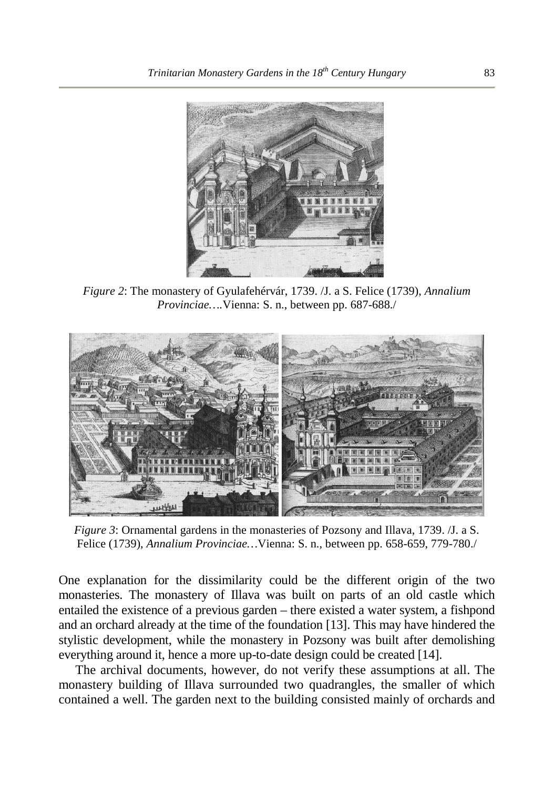

*Figure 2*: The monastery of Gyulafehérvár, 1739. /J. a S. Felice (1739), *Annalium Provinciae….*Vienna: S. n., between pp. 687-688./



*Figure 3*: Ornamental gardens in the monasteries of Pozsony and Illava, 1739. /J. a S. Felice (1739), *Annalium Provinciae…*Vienna: S. n., between pp. 658-659, 779-780./

One explanation for the dissimilarity could be the different origin of the two monasteries. The monastery of Illava was built on parts of an old castle which entailed the existence of a previous garden – there existed a water system, a fishpond and an orchard already at the time of the foundation [13]. This may have hindered the stylistic development, while the monastery in Pozsony was built after demolishing everything around it, hence a more up-to-date design could be created [14].

The archival documents, however, do not verify these assumptions at all. The monastery building of Illava surrounded two quadrangles, the smaller of which contained a well. The garden next to the building consisted mainly of orchards and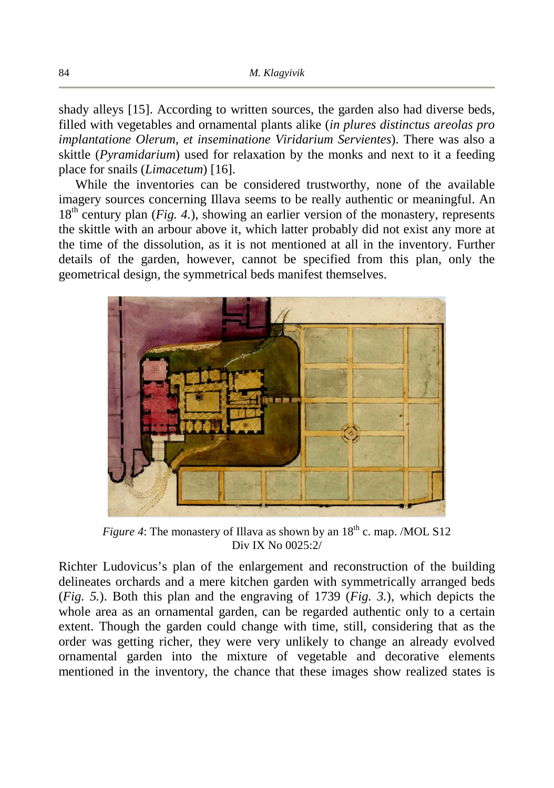shady alleys [15]. According to written sources, the garden also had diverse beds, filled with vegetables and ornamental plants alike (*in plures distinctus areolas pro implantatione Olerum, et inseminatione Viridarium Servientes*). There was also a skittle (*Pyramidarium*) used for relaxation by the monks and next to it a feeding place for snails (*Limacetum*) [16].

While the inventories can be considered trustworthy, none of the available imagery sources concerning Illava seems to be really authentic or meaningful. An 18<sup>th</sup> century plan (*Fig. 4.*), showing an earlier version of the monastery, represents the skittle with an arbour above it, which latter probably did not exist any more at the time of the dissolution, as it is not mentioned at all in the inventory. Further details of the garden, however, cannot be specified from this plan, only the geometrical design, the symmetrical beds manifest themselves.



*Figure 4*: The monastery of Illava as shown by an  $18<sup>th</sup>$  c. map. /MOL S12 Div IX No 0025:2/

Richter Ludovicus's plan of the enlargement and reconstruction of the building delineates orchards and a mere kitchen garden with symmetrically arranged beds (*Fig. 5.*). Both this plan and the engraving of 1739 (*Fig. 3.*), which depicts the whole area as an ornamental garden, can be regarded authentic only to a certain extent. Though the garden could change with time, still, considering that as the order was getting richer, they were very unlikely to change an already evolved ornamental garden into the mixture of vegetable and decorative elements mentioned in the inventory, the chance that these images show realized states is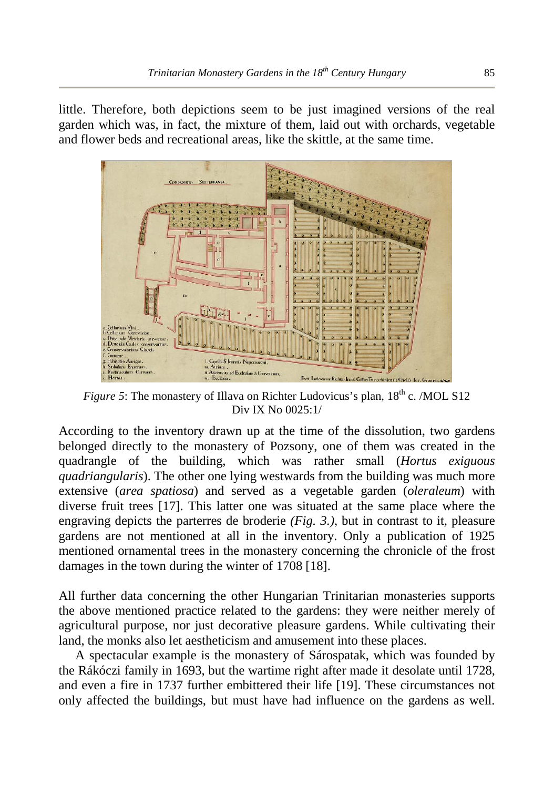little. Therefore, both depictions seem to be just imagined versions of the real garden which was, in fact, the mixture of them, laid out with orchards, vegetable and flower beds and recreational areas, like the skittle, at the same time.



*Figure 5*: The monastery of Illava on Richter Ludovicus's plan,  $18<sup>th</sup>$  c. /MOL S12 Div IX No 0025:1/

According to the inventory drawn up at the time of the dissolution, two gardens belonged directly to the monastery of Pozsony, one of them was created in the quadrangle of the building, which was rather small (*Hortus exiguous quadriangularis*). The other one lying westwards from the building was much more extensive (*area spatiosa*) and served as a vegetable garden (*oleraleum*) with diverse fruit trees [17]. This latter one was situated at the same place where the engraving depicts the parterres de broderie *(Fig. 3.)*, but in contrast to it, pleasure gardens are not mentioned at all in the inventory. Only a publication of 1925 mentioned ornamental trees in the monastery concerning the chronicle of the frost damages in the town during the winter of 1708 [18].

All further data concerning the other Hungarian Trinitarian monasteries supports the above mentioned practice related to the gardens: they were neither merely of agricultural purpose, nor just decorative pleasure gardens. While cultivating their land, the monks also let aestheticism and amusement into these places.

A spectacular example is the monastery of Sárospatak, which was founded by the Rákóczi family in 1693, but the wartime right after made it desolate until 1728, and even a fire in 1737 further embittered their life [19]. These circumstances not only affected the buildings, but must have had influence on the gardens as well.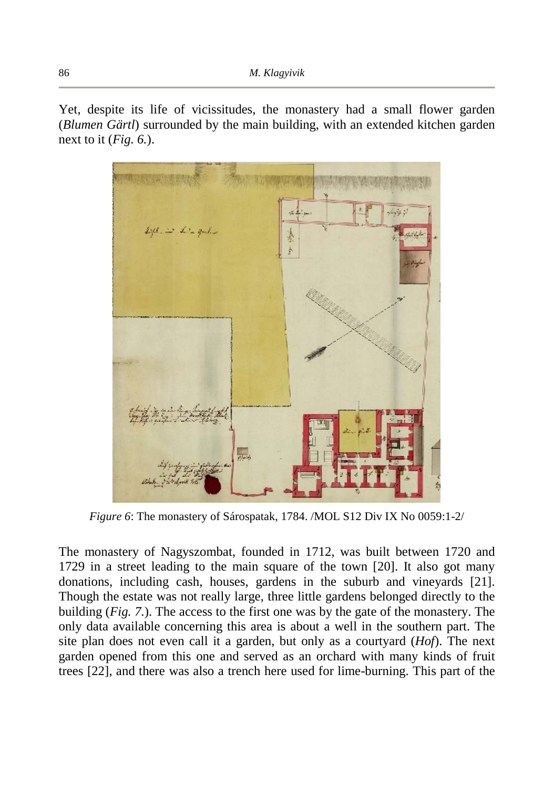Yet, despite its life of vicissitudes, the monastery had a small flower garden (*Blumen Gärtl*) surrounded by the main building, with an extended kitchen garden next to it (*Fig. 6.*).



*Figure 6*: The monastery of Sárospatak, 1784. /MOL S12 Div IX No 0059:1-2/

The monastery of Nagyszombat, founded in 1712, was built between 1720 and 1729 in a street leading to the main square of the town [20]. It also got many donations, including cash, houses, gardens in the suburb and vineyards [21]. Though the estate was not really large, three little gardens belonged directly to the building (*Fig. 7.*). The access to the first one was by the gate of the monastery. The only data available concerning this area is about a well in the southern part. The site plan does not even call it a garden, but only as a courtyard (*Hof*). The next garden opened from this one and served as an orchard with many kinds of fruit trees [22], and there was also a trench here used for lime-burning. This part of the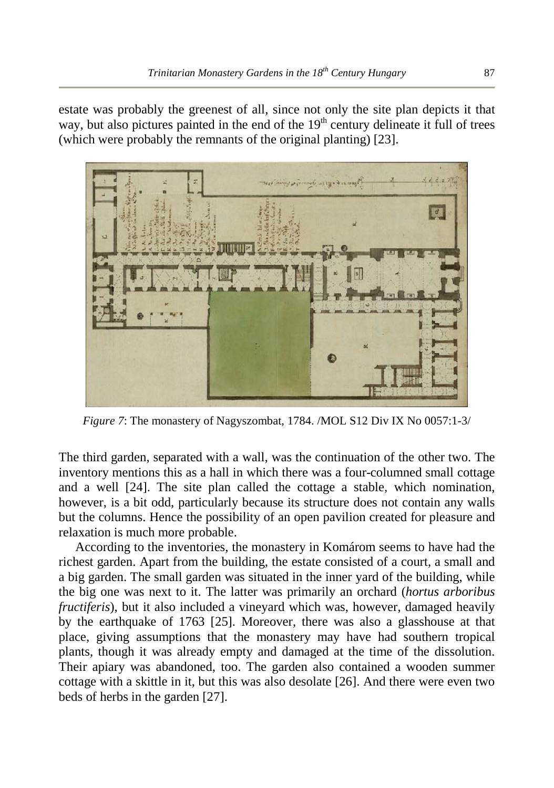estate was probably the greenest of all, since not only the site plan depicts it that way, but also pictures painted in the end of the  $19<sup>th</sup>$  century delineate it full of trees (which were probably the remnants of the original planting) [23].



*Figure 7*: The monastery of Nagyszombat, 1784. /MOL S12 Div IX No 0057:1-3/

The third garden, separated with a wall, was the continuation of the other two. The inventory mentions this as a hall in which there was a four-columned small cottage and a well [24]. The site plan called the cottage a stable, which nomination, however, is a bit odd, particularly because its structure does not contain any walls but the columns. Hence the possibility of an open pavilion created for pleasure and relaxation is much more probable.

According to the inventories, the monastery in Komárom seems to have had the richest garden. Apart from the building, the estate consisted of a court, a small and a big garden. The small garden was situated in the inner yard of the building, while the big one was next to it. The latter was primarily an orchard (*hortus arboribus fructiferis*), but it also included a vineyard which was, however, damaged heavily by the earthquake of 1763 [25]. Moreover, there was also a glasshouse at that place, giving assumptions that the monastery may have had southern tropical plants, though it was already empty and damaged at the time of the dissolution. Their apiary was abandoned, too. The garden also contained a wooden summer cottage with a skittle in it, but this was also desolate [26]. And there were even two beds of herbs in the garden [27].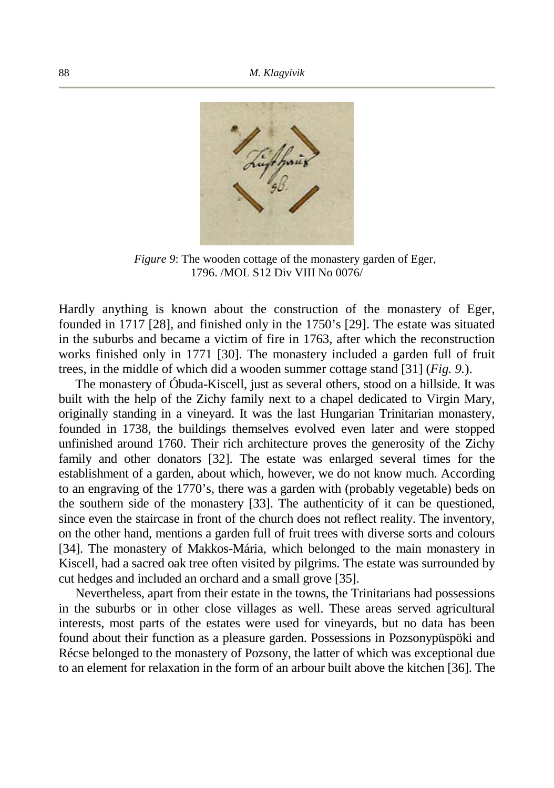

*Figure 9*: The wooden cottage of the monastery garden of Eger, 1796. /MOL S12 Div VIII No 0076/

Hardly anything is known about the construction of the monastery of Eger, founded in 1717 [28], and finished only in the 1750's [29]. The estate was situated in the suburbs and became a victim of fire in 1763, after which the reconstruction works finished only in 1771 [30]. The monastery included a garden full of fruit trees, in the middle of which did a wooden summer cottage stand [31] (*Fig. 9.*).

The monastery of Óbuda-Kiscell, just as several others, stood on a hillside. It was built with the help of the Zichy family next to a chapel dedicated to Virgin Mary, originally standing in a vineyard. It was the last Hungarian Trinitarian monastery, founded in 1738, the buildings themselves evolved even later and were stopped unfinished around 1760. Their rich architecture proves the generosity of the Zichy family and other donators [32]. The estate was enlarged several times for the establishment of a garden, about which, however, we do not know much. According to an engraving of the 1770's, there was a garden with (probably vegetable) beds on the southern side of the monastery [33]. The authenticity of it can be questioned, since even the staircase in front of the church does not reflect reality. The inventory, on the other hand, mentions a garden full of fruit trees with diverse sorts and colours [34]. The monastery of Makkos-Mária, which belonged to the main monastery in Kiscell, had a sacred oak tree often visited by pilgrims. The estate was surrounded by cut hedges and included an orchard and a small grove [35].

Nevertheless, apart from their estate in the towns, the Trinitarians had possessions in the suburbs or in other close villages as well. These areas served agricultural interests, most parts of the estates were used for vineyards, but no data has been found about their function as a pleasure garden. Possessions in Pozsonypüspöki and Récse belonged to the monastery of Pozsony, the latter of which was exceptional due to an element for relaxation in the form of an arbour built above the kitchen [36]. The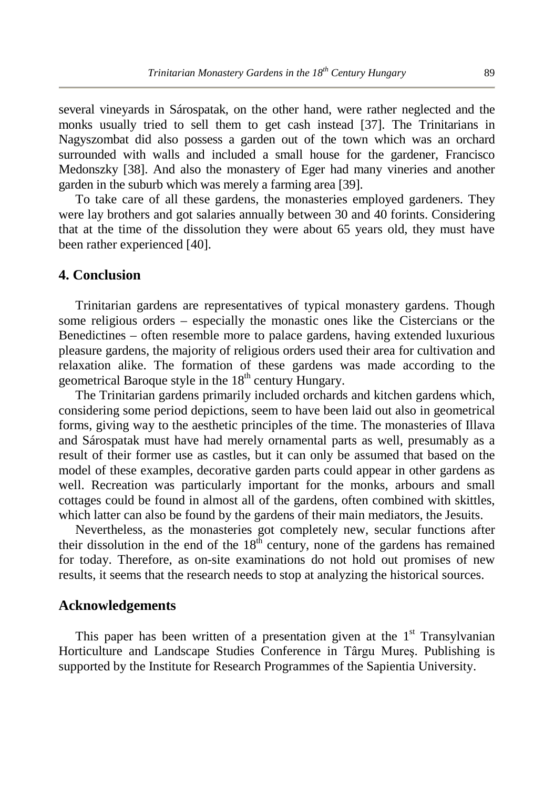several vineyards in Sárospatak, on the other hand, were rather neglected and the monks usually tried to sell them to get cash instead [37]. The Trinitarians in Nagyszombat did also possess a garden out of the town which was an orchard surrounded with walls and included a small house for the gardener, Francisco Medonszky [38]. And also the monastery of Eger had many vineries and another garden in the suburb which was merely a farming area [39].

To take care of all these gardens, the monasteries employed gardeners. They were lay brothers and got salaries annually between 30 and 40 forints. Considering that at the time of the dissolution they were about 65 years old, they must have been rather experienced [40].

## **4. Conclusion**

Trinitarian gardens are representatives of typical monastery gardens. Though some religious orders – especially the monastic ones like the Cistercians or the Benedictines – often resemble more to palace gardens, having extended luxurious pleasure gardens, the majority of religious orders used their area for cultivation and relaxation alike. The formation of these gardens was made according to the geometrical Baroque style in the  $18<sup>th</sup>$  century Hungary.

The Trinitarian gardens primarily included orchards and kitchen gardens which, considering some period depictions, seem to have been laid out also in geometrical forms, giving way to the aesthetic principles of the time. The monasteries of Illava and Sárospatak must have had merely ornamental parts as well, presumably as a result of their former use as castles, but it can only be assumed that based on the model of these examples, decorative garden parts could appear in other gardens as well. Recreation was particularly important for the monks, arbours and small cottages could be found in almost all of the gardens, often combined with skittles, which latter can also be found by the gardens of their main mediators, the Jesuits.

Nevertheless, as the monasteries got completely new, secular functions after their dissolution in the end of the  $18<sup>th</sup>$  century, none of the gardens has remained for today. Therefore, as on-site examinations do not hold out promises of new results, it seems that the research needs to stop at analyzing the historical sources.

#### **Acknowledgements**

This paper has been written of a presentation given at the  $1<sup>st</sup>$  Transylvanian Horticulture and Landscape Studies Conference in Târgu Mureş. Publishing is supported by the Institute for Research Programmes of the Sapientia University.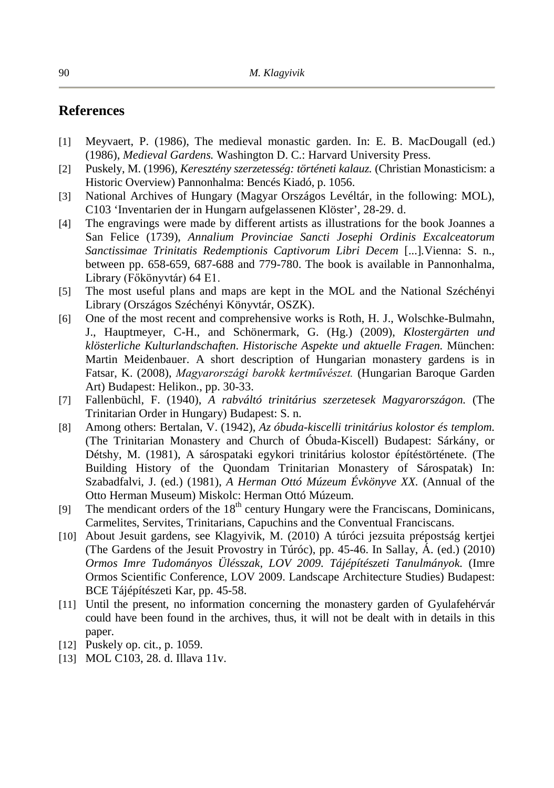# **References**

- [1] Meyvaert, P. (1986), The medieval monastic garden. In: E. B. MacDougall (ed.) (1986), *Medieval Gardens.* Washington D. C.: Harvard University Press.
- [2] Puskely, M. (1996), *Keresztény szerzetesség: történeti kalauz.* (Christian Monasticism: a Historic Overview) Pannonhalma: Bencés Kiadó, p. 1056.
- [3] National Archives of Hungary (Magyar Országos Levéltár, in the following: MOL), C103 'Inventarien der in Hungarn aufgelassenen Klöster', 28-29. d.
- [4] The engravings were made by different artists as illustrations for the book Joannes a San Felice (1739), *Annalium Provinciae Sancti Josephi Ordinis Excalceatorum Sanctissimae Trinitatis Redemptionis Captivorum Libri Decem* [...]*.*Vienna: S. n., between pp. 658-659, 687-688 and 779-780. The book is available in Pannonhalma, Library (Főkönyvtár) 64 E1.
- [5] The most useful plans and maps are kept in the MOL and the National Széchényi Library (Országos Széchényi Könyvtár, OSZK).
- [6] One of the most recent and comprehensive works is Roth, H. J., Wolschke-Bulmahn, J., Hauptmeyer, C-H., and Schönermark, G. (Hg.) (2009), *Klostergärten und klösterliche Kulturlandschaften. Historische Aspekte und aktuelle Fragen.* München: Martin Meidenbauer. A short description of Hungarian monastery gardens is in Fatsar, K. (2008), *Magyarországi barokk kertművészet.* (Hungarian Baroque Garden Art) Budapest: Helikon., pp. 30-33.
- [7] Fallenbüchl, F. (1940), *A rabváltó trinitárius szerzetesek Magyarországon.* (The Trinitarian Order in Hungary) Budapest: S. n.
- [8] Among others: Bertalan, V. (1942), *Az óbuda-kiscelli trinitárius kolostor és templom.* (The Trinitarian Monastery and Church of Óbuda-Kiscell) Budapest: Sárkány, or Détshy, M. (1981), A sárospataki egykori trinitárius kolostor építéstörténete. (The Building History of the Quondam Trinitarian Monastery of Sárospatak) In: Szabadfalvi, J. (ed.) (1981), *A Herman Ottó Múzeum Évkönyve XX.* (Annual of the Otto Herman Museum) Miskolc: Herman Ottó Múzeum.
- [9] The mendicant orders of the  $18<sup>th</sup>$  century Hungary were the Franciscans, Dominicans, Carmelites, Servites, Trinitarians, Capuchins and the Conventual Franciscans.
- [10] About Jesuit gardens, see Klagyivik, M. (2010) A túróci jezsuita prépostság kertjei (The Gardens of the Jesuit Provostry in Túróc), pp. 45-46. In Sallay, Á. (ed.) (2010) *Ormos Imre Tudományos Ülésszak, LOV 2009. Tájépítészeti Tanulmányok.* (Imre Ormos Scientific Conference, LOV 2009. Landscape Architecture Studies) Budapest: BCE Tájépítészeti Kar, pp. 45-58.
- [11] Until the present, no information concerning the monastery garden of Gyulafehérvár could have been found in the archives, thus, it will not be dealt with in details in this paper.
- [12] Puskely op. cit., p. 1059.
- [13] MOL C103, 28. d. Illava 11v.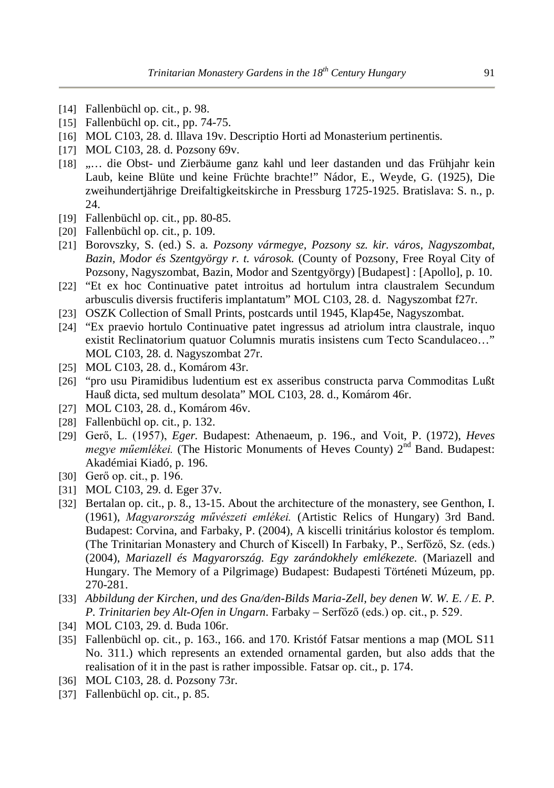- [14] Fallenbüchl op. cit., p. 98.
- [15] Fallenbüchl op. cit., pp. 74-75.
- [16] MOL C103, 28. d. Illava 19v. Descriptio Horti ad Monasterium pertinentis.
- [17] MOL C103, 28. d. Pozsony 69v.
- [18] "... die Obst- und Zierbäume ganz kahl und leer dastanden und das Frühjahr kein Laub, keine Blüte und keine Früchte brachte!" Nádor, E., Weyde, G. (1925), Die zweihundertjährige Dreifaltigkeitskirche in Pressburg 1725-1925. Bratislava: S. n., p. 24.
- [19] Fallenbüchl op. cit., pp. 80-85.
- [20] Fallenbüchl op. cit., p. 109.
- [21] Borovszky, S. (ed.) S. a*. Pozsony vármegye, Pozsony sz. kir. város, Nagyszombat, Bazin, Modor és Szentgyörgy r. t. városok.* (County of Pozsony, Free Royal City of Pozsony, Nagyszombat, Bazin, Modor and Szentgyörgy) [Budapest] : [Apollo], p. 10.
- [22] "Et ex hoc Continuative patet introitus ad hortulum intra claustralem Secundum arbusculis diversis fructiferis implantatum" MOL C103, 28. d. Nagyszombat f27r.
- [23] OSZK Collection of Small Prints, postcards until 1945, Klap45e, Nagyszombat.
- [24] "Ex praevio hortulo Continuative patet ingressus ad atriolum intra claustrale, inquo existit Reclinatorium quatuor Columnis muratis insistens cum Tecto Scandulaceo…" MOL C103, 28. d. Nagyszombat 27r.
- [25] MOL C103, 28. d., Komárom 43r.
- [26] "pro usu Piramidibus ludentium est ex asseribus constructa parva Commoditas Lußt Hauß dicta, sed multum desolata" MOL C103, 28. d., Komárom 46r.
- [27] MOL C103, 28. d., Komárom 46v.
- [28] Fallenbüchl op. cit., p. 132.
- [29] Gerő, L. (1957), *Eger.* Budapest: Athenaeum, p. 196., and Voit, P. (1972), *Heves megye műemlékei.* (The Historic Monuments of Heves County) 2<sup>nd</sup> Band. Budapest: Akadémiai Kiadó, p. 196.
- [30] Gerő op. cit., p. 196.
- [31] MOL C103, 29. d. Eger 37v.
- [32] Bertalan op. cit., p. 8., 13-15. About the architecture of the monastery, see Genthon, I. (1961), *Magyarország művészeti emlékei.* (Artistic Relics of Hungary) 3rd Band. Budapest: Corvina, and Farbaky, P. (2004), A kiscelli trinitárius kolostor és templom. (The Trinitarian Monastery and Church of Kiscell) In Farbaky, P., Serfőző, Sz. (eds.) (2004), *Mariazell és Magyarország. Egy zarándokhely emlékezete.* (Mariazell and Hungary. The Memory of a Pilgrimage) Budapest: Budapesti Történeti Múzeum, pp. 270-281.
- [33] *Abbildung der Kirchen, und des Gna/den-Bilds Maria-Zell, bey denen W. W. E. / E. P. P. Trinitarien bey Alt-Ofen in Ungarn*. Farbaky – Serfőző (eds.) op. cit., p. 529.
- [34] MOL C103, 29. d. Buda 106r.
- [35] Fallenbüchl op. cit., p. 163., 166. and 170. Kristóf Fatsar mentions a map (MOL S11 No. 311.) which represents an extended ornamental garden, but also adds that the realisation of it in the past is rather impossible. Fatsar op. cit., p. 174.
- [36] MOL C103, 28. d. Pozsony 73r.
- [37] Fallenbüchl op. cit., p. 85.